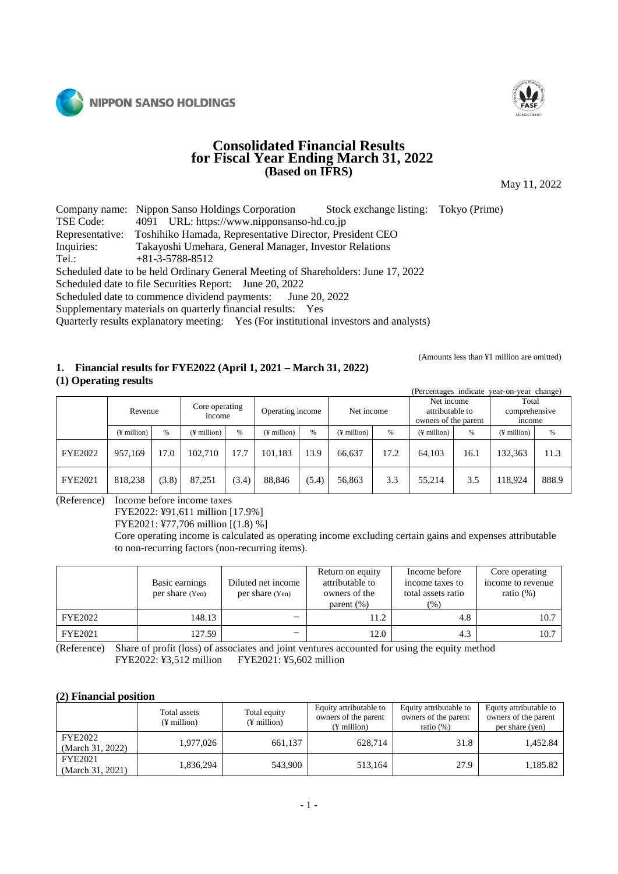



# **Consolidated Financial Results for Fiscal Year Ending March 31, 2022 (Based on IFRS)**

May 11, 2022

Company name: Nippon Sanso Holdings Corporation Stock exchange listing: Tokyo (Prime) TSE Code: 4091 URL: https://www.nipponsanso-hd.co.jp Representative: Toshihiko Hamada, Representative Director, President CEO Inquiries: Takayoshi Umehara, General Manager, Investor Relations Tel.: +81-3-5788-8512 Scheduled date to be held Ordinary General Meeting of Shareholders: June 17, 2022 Scheduled date to file Securities Report: June 20, 2022 Scheduled date to commence dividend payments: June 20, 2022

Supplementary materials on quarterly financial results: Yes

Quarterly results explanatory meeting: Yes (For institutional investors and analysts)

# **1. Financial results for FYE2022 (April 1, 2021 – March 31, 2022)**

**(1) Operating results**

(Amounts less than ¥1 million are omitted)

| (Percentages indicate year-on-year change) |  |  |
|--------------------------------------------|--|--|
|                                            |  |  |

|                | Revenue                 |       |                         |       | Core operating<br>income |       | Operating income  |      | Net income  |      | Net income<br>attributable to<br>owners of the parent |       | Total<br>comprehensive<br>income |  |
|----------------|-------------------------|-------|-------------------------|-------|--------------------------|-------|-------------------|------|-------------|------|-------------------------------------------------------|-------|----------------------------------|--|
|                | $(\frac{1}{2})$ million | %     | $(\frac{1}{2})$ million | %     | $(\frac{1}{2})$ million  | %     | $($ ¥ million $)$ | $\%$ | (¥ million) | $\%$ | $($ ¥ million $)$                                     | %     |                                  |  |
| <b>FYE2022</b> | 957.169                 | l 7.0 | 102.710                 | 17.7  | 101.183                  | 13.9  | 66.637            | 17.2 | 64.103      | 16.1 | 132,363                                               | 11.3  |                                  |  |
| <b>FYE2021</b> | 818.238                 | (3.8) | 87,251                  | (3.4) | 88.846                   | (5.4) | 56,863            | 3.3  | 55,214      | 3.5  | 18,924                                                | 888.9 |                                  |  |

(Reference) Income before income taxes

FYE2022: ¥91,611 million [17.9%]

FYE2021: ¥77,706 million [(1.8) %]

Core operating income is calculated as operating income excluding certain gains and expenses attributable to non-recurring factors (non-recurring items).

|                | Basic earnings<br>per share (Yen) | Return on equity<br>attributable to<br>Diluted net income<br>owners of the<br>per share (Yen)<br>parent $(\% )$ |      | Income before<br>income taxes to<br>total assets ratio<br>$(\%)$ | Core operating<br>income to revenue<br>ratio $(\%)$ |
|----------------|-----------------------------------|-----------------------------------------------------------------------------------------------------------------|------|------------------------------------------------------------------|-----------------------------------------------------|
| <b>FYE2022</b> | 148.13                            | $\overline{\phantom{0}}$                                                                                        | 11.2 | 4.8                                                              | 10.7                                                |
| FYE2021        | 127.59                            |                                                                                                                 | 12.0 | 4.3                                                              | 10.7                                                |

(Reference) Share of profit (loss) of associates and joint ventures accounted for using the equity method FYE2022: ¥3,512 million FYE2021: ¥5,602 million

### **(2) Financial position**

|                                    | Total assets<br>(¥ million) | Total equity<br>$(F$ million) | Equity attributable to<br>owners of the parent<br>$(F$ million) | Equity attributable to<br>owners of the parent<br>ratio $(\%)$ | Equity attributable to<br>owners of the parent<br>per share (yen) |
|------------------------------------|-----------------------------|-------------------------------|-----------------------------------------------------------------|----------------------------------------------------------------|-------------------------------------------------------------------|
| <b>FYE2022</b><br>(March 31, 2022) | 1.977.026                   | 661,137                       | 628,714                                                         | 31.8                                                           | 1,452.84                                                          |
| FYE2021<br>(March 31, 2021)        | 1,836,294                   | 543,900                       | 513,164                                                         | 27.9                                                           | 1,185.82                                                          |